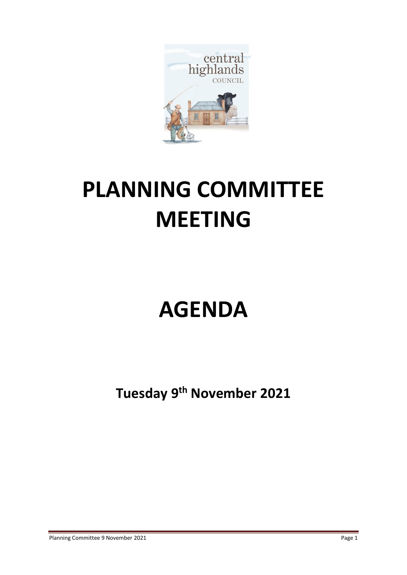

# **PLANNING COMMITTEE MEETING**

# **AGENDA**

**Tuesday 9 th November 2021**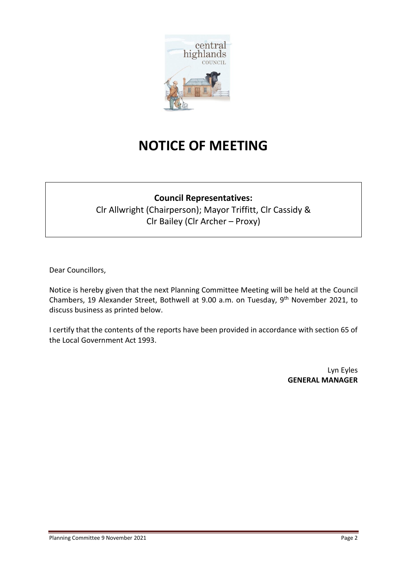

# **NOTICE OF MEETING**

# **Council Representatives:**

Clr Allwright (Chairperson); Mayor Triffitt, Clr Cassidy & Clr Bailey (Clr Archer – Proxy)

Dear Councillors,

Notice is hereby given that the next Planning Committee Meeting will be held at the Council Chambers, 19 Alexander Street, Bothwell at 9.00 a.m. on Tuesday, 9<sup>th</sup> November 2021, to discuss business as printed below.

I certify that the contents of the reports have been provided in accordance with section 65 of the Local Government Act 1993.

> Lyn Eyles **GENERAL MANAGER**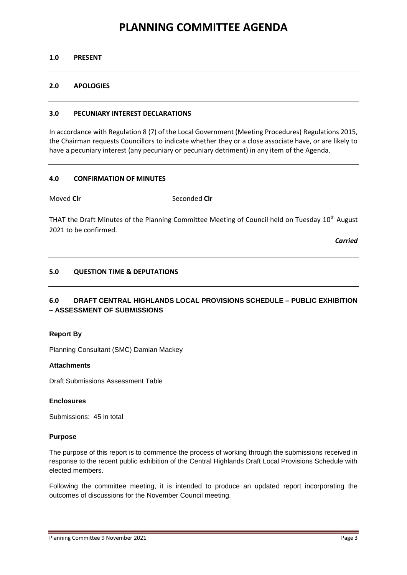# **PLANNING COMMITTEE AGENDA**

# **1.0 PRESENT**

# **2.0 APOLOGIES**

# **3.0 PECUNIARY INTEREST DECLARATIONS**

In accordance with Regulation 8 (7) of the Local Government (Meeting Procedures) Regulations 2015, the Chairman requests Councillors to indicate whether they or a close associate have, or are likely to have a pecuniary interest (any pecuniary or pecuniary detriment) in any item of the Agenda.

# **4.0 CONFIRMATION OF MINUTES**

Moved **Cir** Seconded **Cir** 

THAT the Draft Minutes of the Planning Committee Meeting of Council held on Tuesday 10<sup>th</sup> August 2021 to be confirmed.

*Carried*

# **5.0 QUESTION TIME & DEPUTATIONS**

# **6.0 DRAFT CENTRAL HIGHLANDS LOCAL PROVISIONS SCHEDULE – PUBLIC EXHIBITION – ASSESSMENT OF SUBMISSIONS**

## **Report By**

Planning Consultant (SMC) Damian Mackey

## **Attachments**

Draft Submissions Assessment Table

# **Enclosures**

Submissions: 45 in total

## **Purpose**

The purpose of this report is to commence the process of working through the submissions received in response to the recent public exhibition of the Central Highlands Draft Local Provisions Schedule with elected members.

Following the committee meeting, it is intended to produce an updated report incorporating the outcomes of discussions for the November Council meeting.